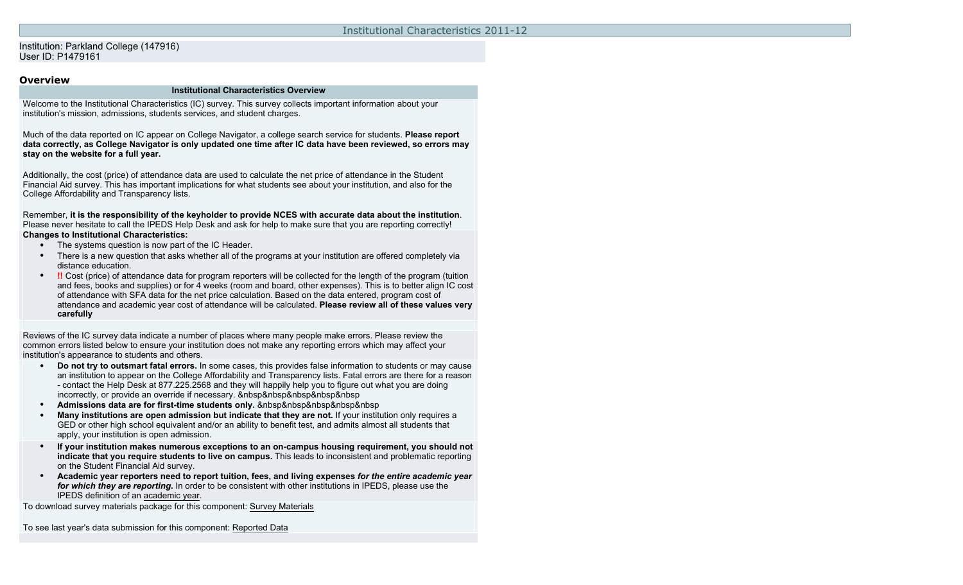### Institution: Parkland College (147916) User ID: P1479161

### **Overview**

#### **Institutional Characteristics Overview**

Welcome to the Institutional Characteristics (IC) survey. This survey collects important information about your institution's mission, admissions, students services, and student charges.

Much of the data reported on IC appear on College Navigator, a college search service for students. **Please report data correctly, as College Navigator is only updated one time after IC data have been reviewed, so errors may stay on the website for a full year.**

Additionally, the cost (price) of attendance data are used to calculate the net price of attendance in the Student Financial Aid survey. This has important implications for what students see about your institution, and also for the College Affordability and Transparency lists.

Remember, **it is the responsibility of the keyholder to provide NCES with accurate data about the institution**. Please never hesitate to call the IPEDS Help Desk and ask for help to make sure that you are reporting correctly! **Changes to Institutional Characteristics:**

- The systems question is now part of the IC Header.
- There is a new question that asks whether all of the programs at your institution are offered completely via distance education.
- **!!** Cost (price) of attendance data for program reporters will be collected for the length of the program (tuition and fees, books and supplies) or for 4 weeks (room and board, other expenses). This is to better align IC cost of attendance with SFA data for the net price calculation. Based on the data entered, program cost of attendance and academic year cost of attendance will be calculated. **Please review all of these values very carefully**

Reviews of the IC survey data indicate a number of places where many people make errors. Please review the common errors listed below to ensure your institution does not make any reporting errors which may affect your institution's appearance to students and others.

- **Do not try to outsmart fatal errors.** In some cases, this provides false information to students or may cause an institution to appear on the College Affordability and Transparency lists. Fatal errors are there for a reason - contact the Help Desk at 877.225.2568 and they will happily help you to figure out what you are doing incorrectly, or provide an override if necessary. **&nbsp&nbsp&nbsp&nbsp&nbsp**
- Admissions data are for first-time students only. *&nbsp&nbsp&nbsp&nbsp&nbsp*
- **Many institutions are open admission but indicate that they are not.** If your institution only requires a GED or other high school equivalent and/or an ability to benefit test, and admits almost all students that apply, your institution is open admission.
- **If your institution makes numerous exceptions to an on-campus housing requirement, you should not indicate that you require students to live on campus.** This leads to inconsistent and problematic reporting on the Student Financial Aid survey.
- **Academic year reporters need to report tuition, fees, and living expenses** *for the entire academic year for which they are reporting***.** In order to be consistent with other institutions in IPEDS, please use the IPEDS definition of an academic year.

To download survey materials package for this component: [Survey Materials](https://surveys.nces.ed.gov/ipeds/VisIndex.aspx)

To see last year's data submission for this component: [Reported Data](https://surveys.nces.ed.gov/IPEDS/PriorYearDataRedirect.aspx?survey_id=11)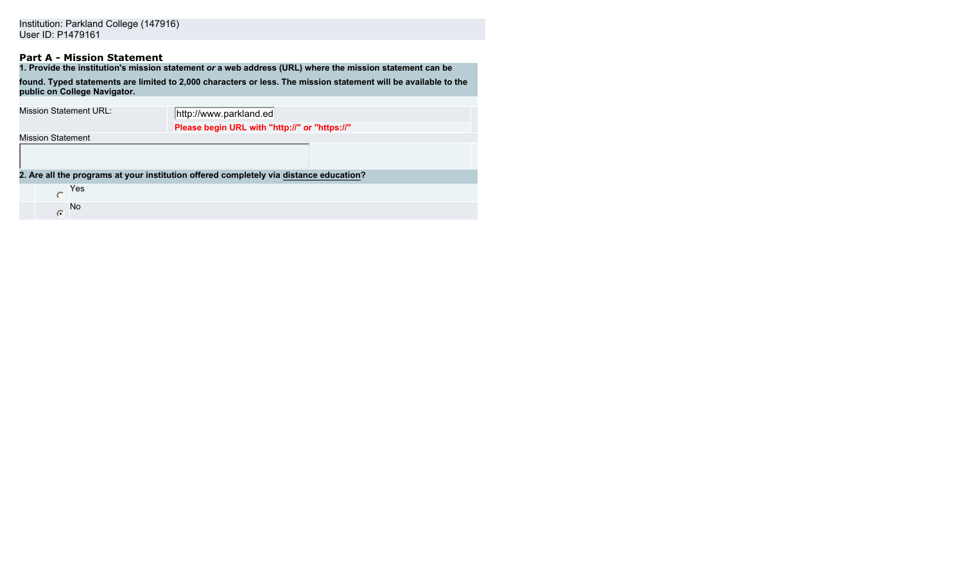# **Part A - Mission Statement**

| 1. Provide the institution's mission statement or a web address (URL) where the mission statement can be                                        |                                                                                        |  |  |  |  |
|-------------------------------------------------------------------------------------------------------------------------------------------------|----------------------------------------------------------------------------------------|--|--|--|--|
| found. Typed statements are limited to 2,000 characters or less. The mission statement will be available to the<br>public on College Navigator. |                                                                                        |  |  |  |  |
| Mission Statement URL:                                                                                                                          | http://www.parkland.ed                                                                 |  |  |  |  |
|                                                                                                                                                 | Please begin URL with "http://" or "https://"                                          |  |  |  |  |
| <b>Mission Statement</b>                                                                                                                        |                                                                                        |  |  |  |  |
|                                                                                                                                                 |                                                                                        |  |  |  |  |
|                                                                                                                                                 | 2. Are all the programs at your institution offered completely via distance education? |  |  |  |  |
| Yes                                                                                                                                             |                                                                                        |  |  |  |  |
| No.<br>$\bullet$                                                                                                                                |                                                                                        |  |  |  |  |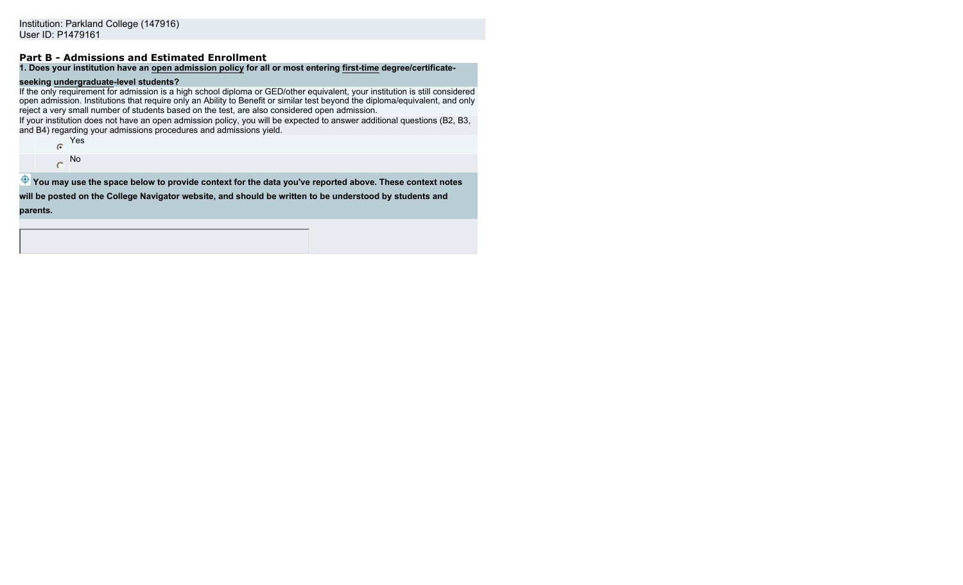# **Part B - Admissions and Estimated Enrollment**

### **1. Does your institution have an open admission policy for all or most entering first-time degree/certificate-**

# **seeking undergraduate-level students?**

If the only requirement for admission is a high school diploma or GED/other equivalent, your institution is still considered open admission. Institutions that require only an Ability to Benefit or similar test beyond the diploma/equivalent, and only reject a very small number of students based on the test, are also considered open admission.

If your institution does not have an open admission policy, you will be expected to answer additional questions (B2, B3, and B4) regarding your admissions procedures and admissions yield.

- Yes
- No  $\bigcap$

**<sup>4</sup>** You may use the space below to provide context for the data you've reported above. These context notes **will be posted on the College Navigator website, and should be written to be understood by students and parents.**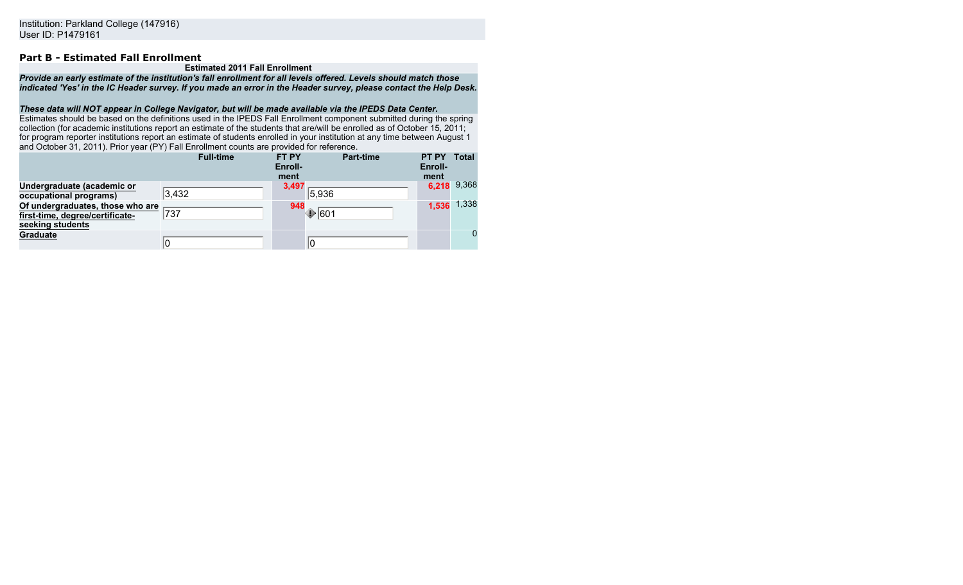### **Part B - Estimated Fall Enrollment**

#### **Estimated 2011 Fall Enrollment**

*Provide an early estimate of the institution's fall enrollment for all levels offered. Levels should match those indicated 'Yes' in the IC Header survey. If you made an error in the Header survey, please contact the Help Desk.*

#### *These data will NOT appear in College Navigator, but will be made available via the IPEDS Data Center.*

Estimates should be based on the definitions used in the IPEDS Fall Enrollment component submitted during the spring collection (for academic institutions report an estimate of the students that are/will be enrolled as of October 15, 2011; for program reporter institutions report an estimate of students enrolled in your institution at any time between August 1 and October 31, 2011). Prior year (PY) Fall Enrollment counts are provided for reference.

|                                                                                         | <b>Full-time</b> | <b>FT PY</b><br>Enroll-<br>ment | <b>Part-time</b> | PT PY<br>Enroll-<br>ment | <b>Total</b> |
|-----------------------------------------------------------------------------------------|------------------|---------------------------------|------------------|--------------------------|--------------|
| Undergraduate (academic or<br>occupational programs)                                    | $ 3,432\rangle$  | 3,497<br> 5,936                 |                  | 6,218                    | 9,368        |
| Of undergraduates, those who are<br>first-time, degree/certificate-<br>seeking students | 737              | 948<br>$\bigcirc$ 601           |                  | 1.536                    | 1,338        |
| <b>Graduate</b>                                                                         | 0                | 10                              |                  |                          | $\mathbf{0}$ |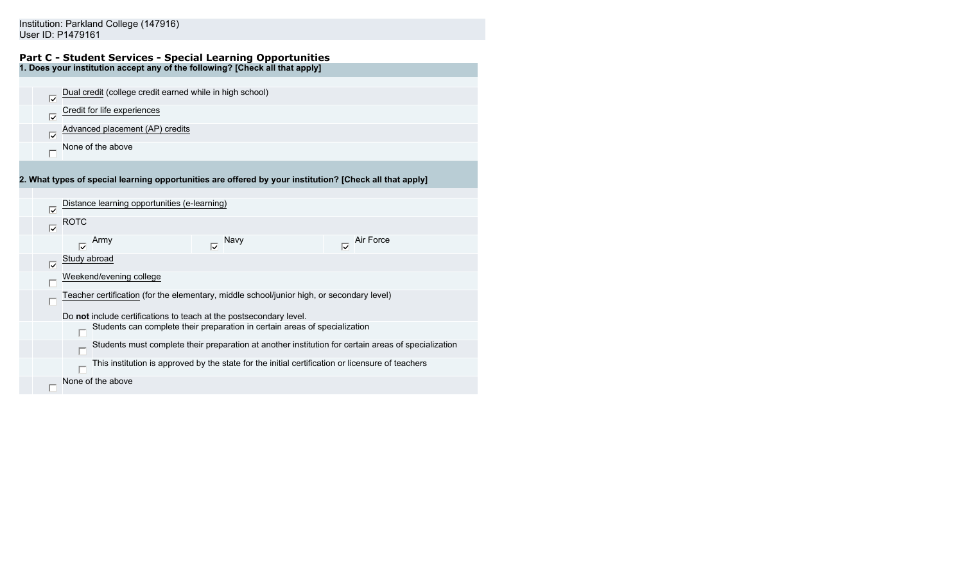#### **Part C - Student Services - Special Learning Opportunities 1. Does your institution accept any of the following? [Check all that apply]**

|                   | Dual credit (college credit earned while in high school) |  |
|-------------------|----------------------------------------------------------|--|
|                   | Credit for life experiences                              |  |
| Ⅳ                 | Advanced placement (AP) credits                          |  |
| None of the above |                                                          |  |

**2. What types of special learning opportunities are offered by your institution? [Check all that apply]**

| ⊽                   | Distance learning opportunities (e-learning)                                                        |  |  |  |  |  |  |
|---------------------|-----------------------------------------------------------------------------------------------------|--|--|--|--|--|--|
| $\overline{\vee}$   | ROTC                                                                                                |  |  |  |  |  |  |
|                     | Air Force<br>Army<br>Navy<br>$\overline{\nabla}$<br>ঢ়                                              |  |  |  |  |  |  |
| $\overline{\nabla}$ | Study abroad                                                                                        |  |  |  |  |  |  |
|                     | Weekend/evening college                                                                             |  |  |  |  |  |  |
|                     | Teacher certification (for the elementary, middle school/junior high, or secondary level)           |  |  |  |  |  |  |
|                     | Do not include certifications to teach at the postsecondary level.                                  |  |  |  |  |  |  |
|                     | Students can complete their preparation in certain areas of specialization                          |  |  |  |  |  |  |
|                     | Students must complete their preparation at another institution for certain areas of specialization |  |  |  |  |  |  |
|                     | This institution is approved by the state for the initial certification or licensure of teachers    |  |  |  |  |  |  |
|                     | None of the above                                                                                   |  |  |  |  |  |  |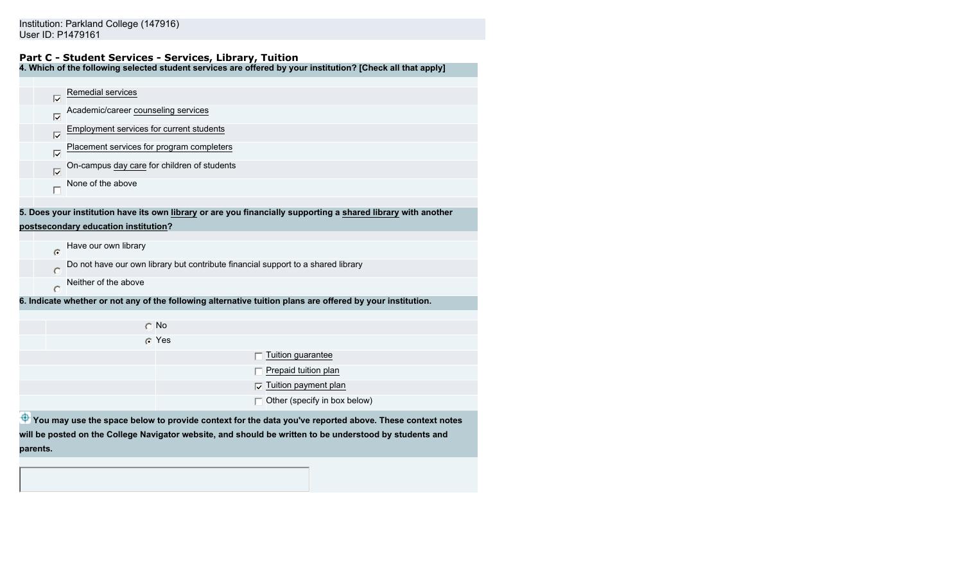### **Part C - Student Services - Services, Library, Tuition**

**4. Which of the following selected student services are offered by your institution? [Check all that apply]**

| ঢ়                | Remedial services                               |           |                                                                                                               |
|-------------------|-------------------------------------------------|-----------|---------------------------------------------------------------------------------------------------------------|
| ঢ়                | Academic/career counseling services             |           |                                                                                                               |
| ঢ়                | <b>Employment services for current students</b> |           |                                                                                                               |
| $\overline{\vee}$ | Placement services for program completers       |           |                                                                                                               |
| $\overline{\vee}$ | On-campus day care for children of students     |           |                                                                                                               |
|                   | None of the above                               |           |                                                                                                               |
|                   |                                                 |           |                                                                                                               |
|                   |                                                 |           | 5. Does your institution have its own library or are you financially supporting a shared library with another |
|                   | postsecondary education institution?            |           |                                                                                                               |
|                   |                                                 |           |                                                                                                               |
| ര                 | Have our own library                            |           |                                                                                                               |
|                   |                                                 |           | Do not have our own library but contribute financial support to a shared library                              |
|                   | Neither of the above                            |           |                                                                                                               |
|                   |                                                 |           | 6. Indicate whether or not any of the following alternative tuition plans are offered by your institution.    |
|                   |                                                 |           |                                                                                                               |
|                   |                                                 | $\cap$ No |                                                                                                               |
|                   |                                                 | G Yes     |                                                                                                               |
|                   |                                                 |           | Tuition guarantee                                                                                             |
|                   |                                                 |           | Prepaid tuition plan                                                                                          |
|                   |                                                 |           | Tuition payment plan                                                                                          |
|                   |                                                 |           | Other (specify in box below)                                                                                  |
|                   |                                                 |           | You may use the space below to provide context for the data you've reported above. These context notes        |

**will be posted on the College Navigator website, and should be written to be understood by students and parents.**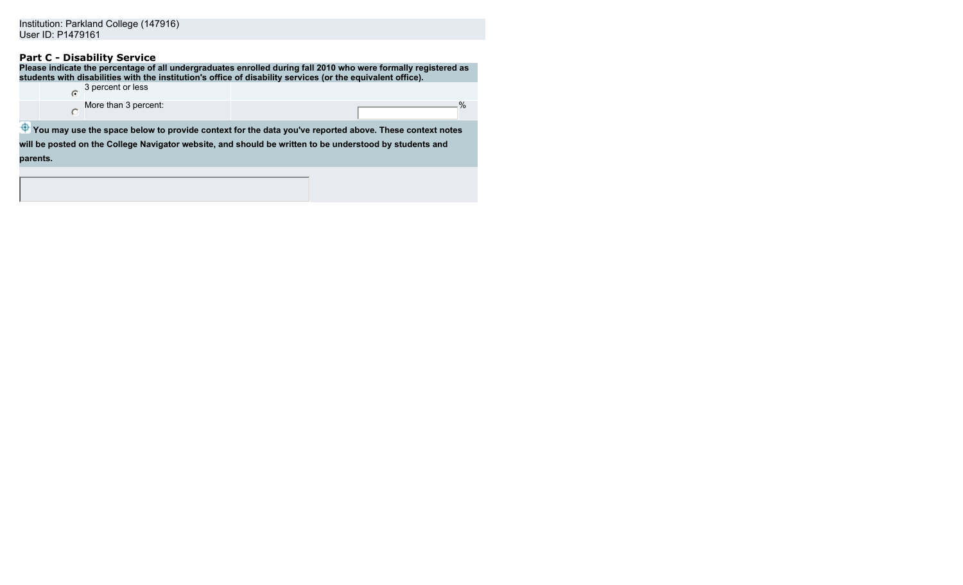# **Part C - Disability Service**

|          |                      | Please indicate the percentage of all undergraduates enrolled during fall 2010 who were formally registered as<br>students with disabilities with the institution's office of disability services (or the equivalent office). |
|----------|----------------------|-------------------------------------------------------------------------------------------------------------------------------------------------------------------------------------------------------------------------------|
| G        | 3 percent or less    |                                                                                                                                                                                                                               |
|          | More than 3 percent: | $\%$                                                                                                                                                                                                                          |
|          |                      | You may use the space below to provide context for the data you've reported above. These context notes                                                                                                                        |
|          |                      | will be posted on the College Navigator website, and should be written to be understood by students and                                                                                                                       |
| parents. |                      |                                                                                                                                                                                                                               |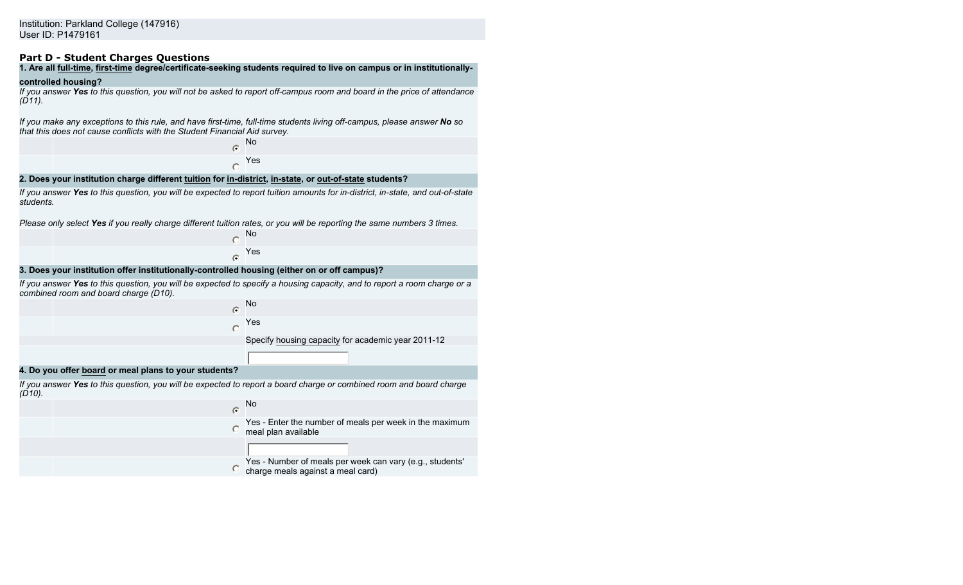### **Part D - Student Charges Questions**

# **1. Are all full-time, first-time degree/certificate-seeking students required to live on campus or in institutionally-**

#### **controlled housing?**

*If you answer Yes to this question, you will not be asked to report off-campus room and board in the price of attendance (D11).*

*If you make any exceptions to this rule, and have first-time, full-time students living off-campus, please answer No so that this does not cause conflicts with the Student Financial Aid survey.*

> No  $\bullet$ Yes  $\circ$

#### **2. Does your institution charge different tuition for in-district, in-state, or out-of-state students?**

*If you answer Yes to this question, you will be expected to report tuition amounts for in-district, in-state, and out-of-state students.*

*Please only select Yes if you really charge different tuition rates, or you will be reporting the same numbers 3 times.*

No  $\cap$ Yes  $\bullet$ 

#### **3. Does your institution offer institutionally-controlled housing (either on or off campus)?**

*If you answer Yes to this question, you will be expected to specify a housing capacity, and to report a room charge or a combined room and board charge (D10).*



charge meals against a meal card)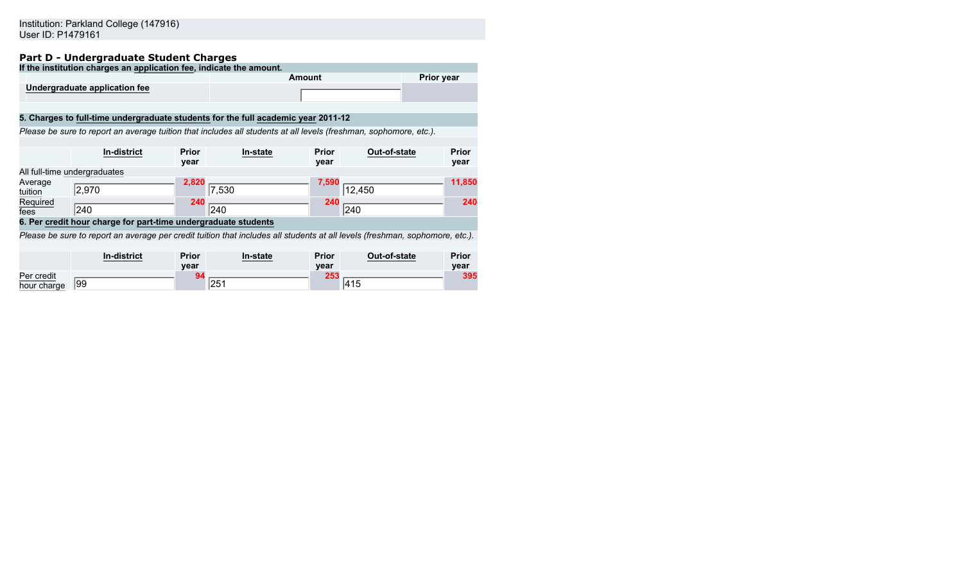### **Part D - Undergraduate Student Charges**

|                                                                                                                   | . u. . b     o.wo. q. uuuuto bluuchil o.w. qub                                    |              |          |              |              |                   |              |
|-------------------------------------------------------------------------------------------------------------------|-----------------------------------------------------------------------------------|--------------|----------|--------------|--------------|-------------------|--------------|
|                                                                                                                   | If the institution charges an application fee, indicate the amount.               |              |          |              |              |                   |              |
|                                                                                                                   |                                                                                   |              | Amount   |              |              | <b>Prior year</b> |              |
|                                                                                                                   | Undergraduate application fee                                                     |              |          |              |              |                   |              |
|                                                                                                                   |                                                                                   |              |          |              |              |                   |              |
|                                                                                                                   | 5. Charges to full-time undergraduate students for the full academic year 2011-12 |              |          |              |              |                   |              |
| Please be sure to report an average tuition that includes all students at all levels (freshman, sophomore, etc.). |                                                                                   |              |          |              |              |                   |              |
|                                                                                                                   |                                                                                   |              |          |              |              |                   |              |
|                                                                                                                   | <b>In-district</b>                                                                | <b>Prior</b> | In-state | <b>Prior</b> | Out-of-state |                   | <b>Prior</b> |

|             |                              | vear  |       | year  |        | year   |
|-------------|------------------------------|-------|-------|-------|--------|--------|
|             | All full-time undergraduates |       |       |       |        |        |
| Average     |                              | 2.820 |       | 7.590 |        | 11,850 |
| tuition     | 2,970                        |       | 7,530 |       | 12,450 |        |
| Required    |                              |       |       | 210   |        |        |
| <u>fees</u> | 240                          |       | 240   |       | 240    |        |
|             |                              |       |       |       |        | 240    |

#### **6. Per credit hour charge for part-time undergraduate students**

*Please be sure to report an average per credit tuition that includes all students at all levels (freshman, sophomore, etc.).*

|                           | <b>In-district</b> | Prior<br>vear | In-state | <b>Prior</b><br>year | Out-of-state | <b>Prior</b><br>year |
|---------------------------|--------------------|---------------|----------|----------------------|--------------|----------------------|
| Per credit<br>hour charge | 99                 |               | 251      | <b>OEO</b>           | 14F          | 395                  |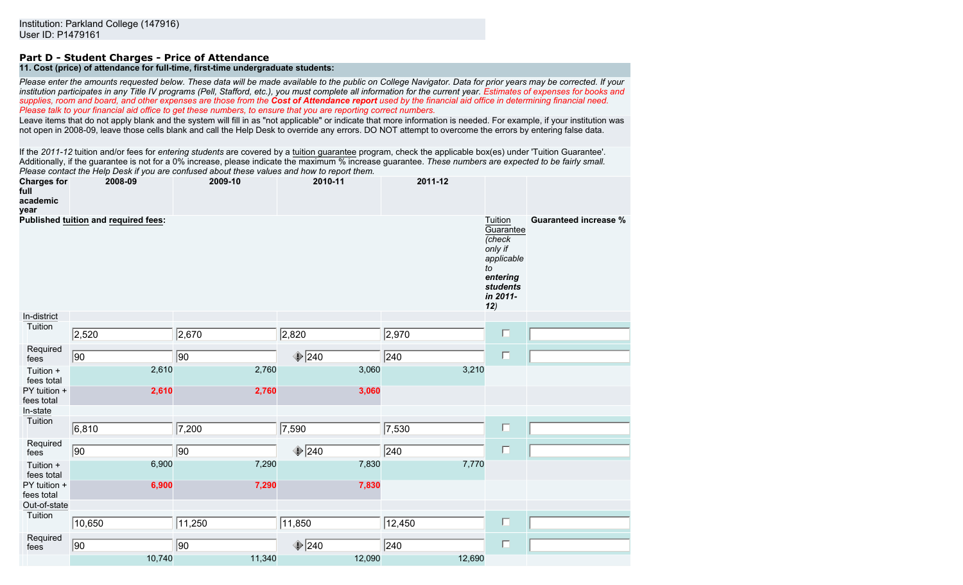# **Part D - Student Charges - Price of Attendance**

# **11. Cost (price) of attendance for full-time, first-time undergraduate students:**

*Please enter the amounts requested below. These data will be made available to the public on College Navigator. Data for prior years may be corrected. If your institution participates in any Title IV programs (Pell, Stafford, etc.), you must complete all information for the current year. Estimates of expenses for books and supplies, room and board, and other expenses are those from the Cost of Attendance report used by the financial aid office in determining financial need. Please talk to your financial aid office to get these numbers, to ensure that you are reporting correct numbers.*

Leave items that do not apply blank and the system will fill in as "not applicable" or indicate that more information is needed. For example, if your institution was not open in 2008-09, leave those cells blank and call the Help Desk to override any errors. DO NOT attempt to overcome the errors by entering false data.

If the *2011-12* tuition and/or fees for *entering students* are covered by a tuition guarantee program, check the applicable box(es) under 'Tuition Guarantee'. Additionally, if the guarantee is not for a 0% increase, please indicate the maximum % increase guarantee. *These numbers are expected to be fairly small. Please contact the Help Desk if you are confused about these values and how to report them.*

| <b>Charges for</b><br>2008-09<br>full<br>academic<br>year |                                             | 2009-10 | 2010-11        | 2011-12          |                                                                                                                 |                              |
|-----------------------------------------------------------|---------------------------------------------|---------|----------------|------------------|-----------------------------------------------------------------------------------------------------------------|------------------------------|
|                                                           | <b>Published tuition and required fees:</b> |         |                |                  | Tuition<br>Guarantee<br>(check<br>only if<br>applicable<br>to<br>entering<br><b>students</b><br>in 2011-<br>12) | <b>Guaranteed increase %</b> |
| In-district                                               |                                             |         |                |                  |                                                                                                                 |                              |
| Tuition                                                   | 2,520                                       | 2,670   | 2,820          | 2,970            | $\Box$                                                                                                          |                              |
| Required<br>fees                                          | 90                                          | 90      | $\bigcirc$ 240 | $\sqrt{240}$     | $\Box$                                                                                                          |                              |
| Tuition +<br>fees total                                   | 2,610                                       | 2,760   | 3,060          | 3,210            |                                                                                                                 |                              |
| PY tuition +<br>fees total                                | 2,610                                       | 2,760   | 3,060          |                  |                                                                                                                 |                              |
| In-state                                                  |                                             |         |                |                  |                                                                                                                 |                              |
| Tuition                                                   | 6,810                                       | 7,200   | 7,590          | 7,530            | $\Box$                                                                                                          |                              |
| Required<br>fees                                          | $\overline{90}$                             | 90      | $\bigcirc$ 240 | $\overline{240}$ | $\Box$                                                                                                          |                              |
| Tuition +<br>fees total                                   | 6,900                                       | 7,290   | 7,830          | 7,770            |                                                                                                                 |                              |
| PY tuition +<br>fees total                                | 6,900                                       | 7,290   | 7,830          |                  |                                                                                                                 |                              |
| Out-of-state                                              |                                             |         |                |                  |                                                                                                                 |                              |
| Tuition                                                   | 10,650                                      | 11,250  | 11,850         | 12,450           | $\Box$                                                                                                          |                              |
| Required<br>fees                                          | 90                                          | 90      | $\bigcirc$ 240 | $\sqrt{240}$     | $\Box$                                                                                                          |                              |
|                                                           | 10,740                                      | 11,340  | 12,090         | 12,690           |                                                                                                                 |                              |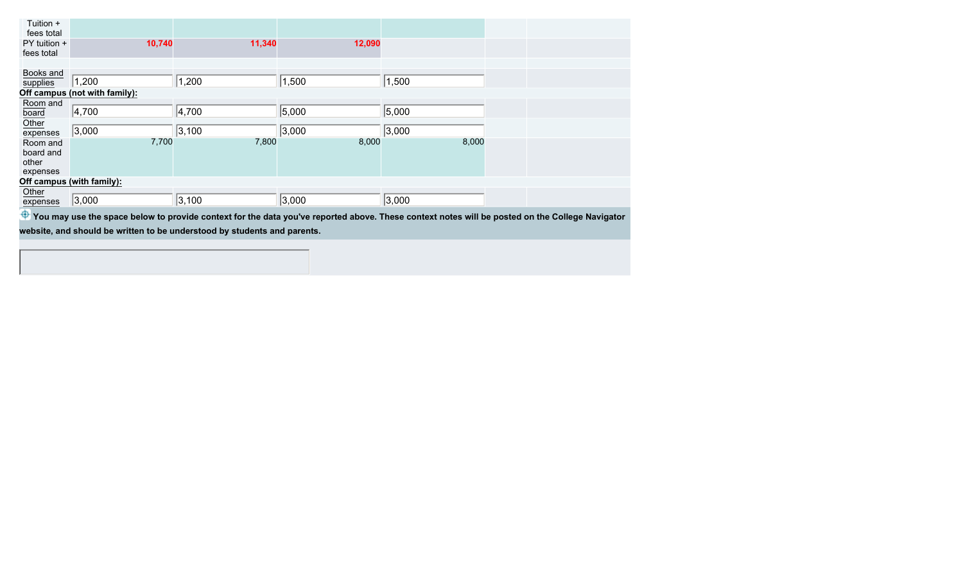| Tuition +<br>fees total<br>PY tuition +<br>fees total |                                                                                                                                                | 10,740 | 11,340 | 12,090 |       |  |  |
|-------------------------------------------------------|------------------------------------------------------------------------------------------------------------------------------------------------|--------|--------|--------|-------|--|--|
|                                                       |                                                                                                                                                |        |        |        |       |  |  |
| Books and<br>supplies                                 | 1,200                                                                                                                                          |        | 1,200  | 1,500  | 1,500 |  |  |
|                                                       | Off campus (not with family):                                                                                                                  |        |        |        |       |  |  |
| Room and<br>board                                     | 4,700                                                                                                                                          |        | 4,700  | 5,000  | 5,000 |  |  |
| Other<br>expenses                                     | 3,000                                                                                                                                          |        | 3,100  | 3,000  | 3,000 |  |  |
| Room and<br>board and<br>other<br>expenses            |                                                                                                                                                | 7,700  | 7,800  | 8,000  | 8,000 |  |  |
|                                                       | Off campus (with family):                                                                                                                      |        |        |        |       |  |  |
| Other<br>expenses                                     | 3,000                                                                                                                                          |        | 3,100  | 3,000  | 3,000 |  |  |
| φ                                                     | You may use the space below to provide context for the data you've reported above. These context notes will be posted on the College Navigator |        |        |        |       |  |  |

**website, and should be written to be understood by students and parents.**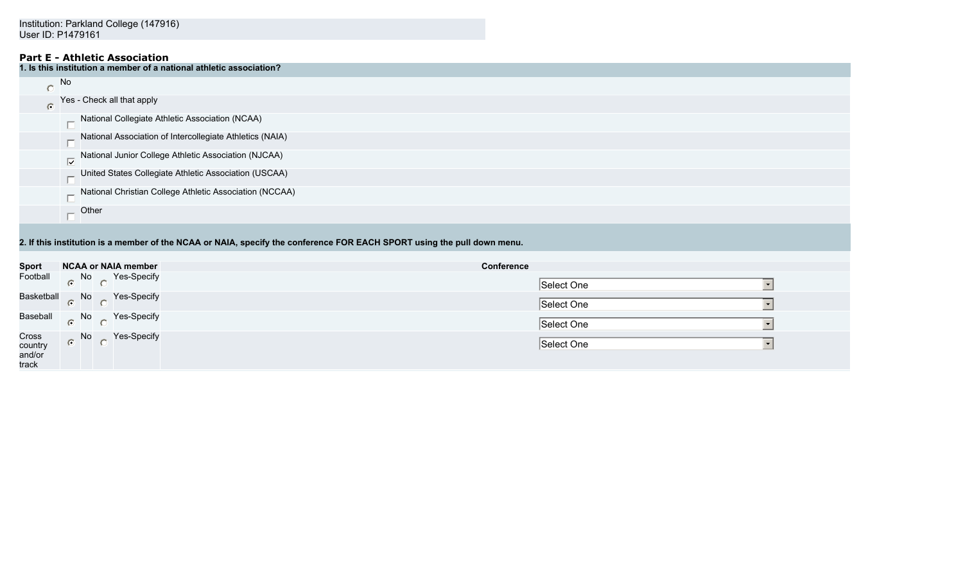# **Part E - Athletic Association**

|           | $\mathsf{l}.$ Is this institution a member of a national athletic association? |
|-----------|--------------------------------------------------------------------------------|
|           | No                                                                             |
| $\bullet$ | Yes - Check all that apply                                                     |
|           | National Collegiate Athletic Association (NCAA)                                |
|           | Attional Association of Intercollegiate Athletics (NAIA)                       |
|           | National Junior College Athletic Association (NJCAA)                           |
|           | United States Collegiate Athletic Association (USCAA)                          |
|           | National Christian College Athletic Association (NCCAA)                        |
|           | Other                                                                          |

**2. If this institution is a member of the NCAA or NAIA, specify the conference FOR EACH SPORT using the pull down menu.**

| <b>Sport</b>                        | <b>NCAA or NAIA member</b>   | <b>Conference</b> |
|-------------------------------------|------------------------------|-------------------|
| Football                            | $N$ No $\bigcap$ Yes-Specify | Select One        |
|                                     | Basketball No Yes-Specify    | Select One        |
|                                     | Baseball No Yes-Specify      | Select One        |
| Cross<br>country<br>and/or<br>track | No Yes-Specify               | Select One        |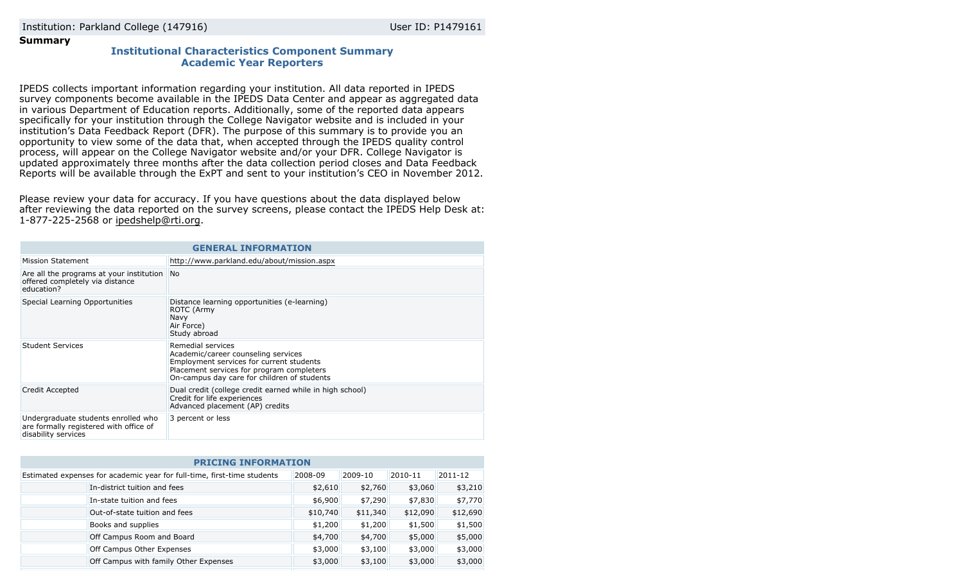### **Summary**

# **Institutional Characteristics Component Summary Academic Year Reporters**

IPEDS collects important information regarding your institution. All data reported in IPEDS survey components become available in the IPEDS Data Center and appear as aggregated data in various Department of Education reports. Additionally, some of the reported data appears specifically for your institution through the College Navigator website and is included in your institution's Data Feedback Report (DFR). The purpose of this summary is to provide you an opportunity to view some of the data that, when accepted through the IPEDS quality control process, will appear on the College Navigator website and/or your DFR. College Navigator is updated approximately three months after the data collection period closes and Data Feedback Reports will be available through the ExPT and sent to your institution's CEO in November 2012.

Please review your data for accuracy. If you have questions about the data displayed below after reviewing the data reported on the survey screens, please contact the IPEDS Help Desk at: 1-877-225-2568 or ipedshelp@rti.org.

| <b>GENERAL INFORMATION</b>                                                                           |                                                                                                                                                                                                  |  |
|------------------------------------------------------------------------------------------------------|--------------------------------------------------------------------------------------------------------------------------------------------------------------------------------------------------|--|
| Mission Statement                                                                                    | http://www.parkland.edu/about/mission.aspx                                                                                                                                                       |  |
| Are all the programs at your institution<br>offered completely via distance<br>education?            | <b>No</b>                                                                                                                                                                                        |  |
| Special Learning Opportunities                                                                       | Distance learning opportunities (e-learning)<br>ROTC (Army<br>Navy<br>Air Force)<br>Study abroad                                                                                                 |  |
| Student Services                                                                                     | Remedial services<br>Academic/career counseling services<br>Employment services for current students<br>Placement services for program completers<br>On-campus day care for children of students |  |
| Credit Accepted                                                                                      | Dual credit (college credit earned while in high school)<br>Credit for life experiences<br>Advanced placement (AP) credits                                                                       |  |
| Undergraduate students enrolled who<br>are formally registered with office of<br>disability services | 3 percent or less                                                                                                                                                                                |  |

| <b>PRICING INFORMATION</b>                                                         |          |          |          |          |  |
|------------------------------------------------------------------------------------|----------|----------|----------|----------|--|
| 2008-09<br>Estimated expenses for academic year for full-time, first-time students |          | 2009-10  | 2010-11  | 2011-12  |  |
| In-district tuition and fees                                                       | \$2,610  | \$2,760  | \$3,060  | \$3,210  |  |
| In-state tuition and fees                                                          | \$6,900  | \$7,290  | \$7,830  | \$7,770  |  |
| Out-of-state tuition and fees                                                      | \$10,740 | \$11,340 | \$12,090 | \$12,690 |  |
| Books and supplies                                                                 | \$1,200  | \$1,200  | \$1,500  | \$1,500  |  |
| Off Campus Room and Board                                                          | \$4,700  | \$4,700  | \$5,000  | \$5,000  |  |
| Off Campus Other Expenses                                                          | \$3,000  | \$3,100  | \$3,000  | \$3,000  |  |
| Off Campus with family Other Expenses                                              | \$3,000  | \$3,100  | \$3,000  | \$3,000  |  |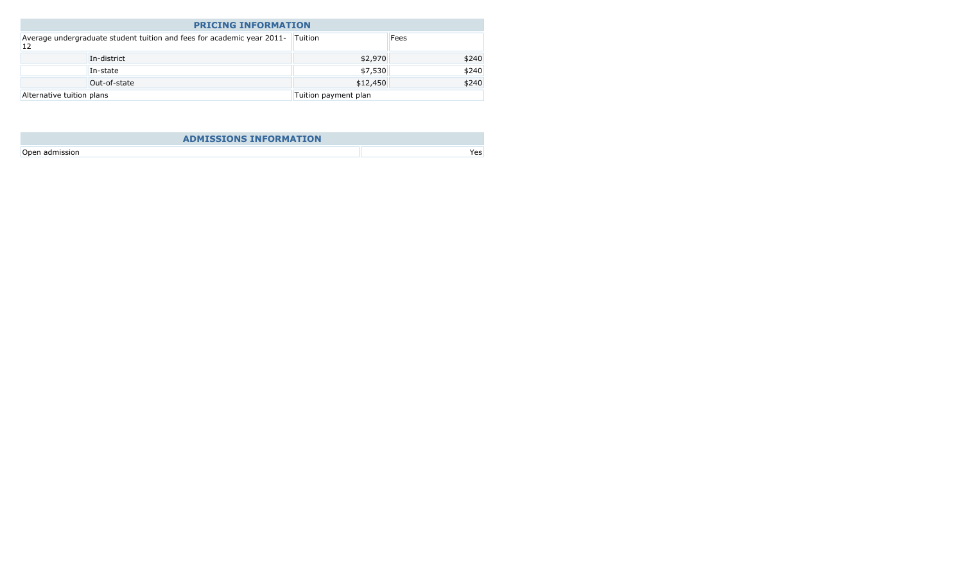| <b>PRICING INFORMATION</b>                                                   |              |                      |       |  |
|------------------------------------------------------------------------------|--------------|----------------------|-------|--|
| Average undergraduate student tuition and fees for academic year 2011-<br>12 |              | Tuition              | Fees  |  |
|                                                                              | In-district  | \$2,970              | \$240 |  |
|                                                                              | In-state     | \$7,530              | \$240 |  |
|                                                                              | Out-of-state | \$12,450             | \$240 |  |
| Alternative tuition plans                                                    |              | Tuition payment plan |       |  |

| <b>ADMISSIONS INFORMATION</b> |     |
|-------------------------------|-----|
| Open admission                | Yes |